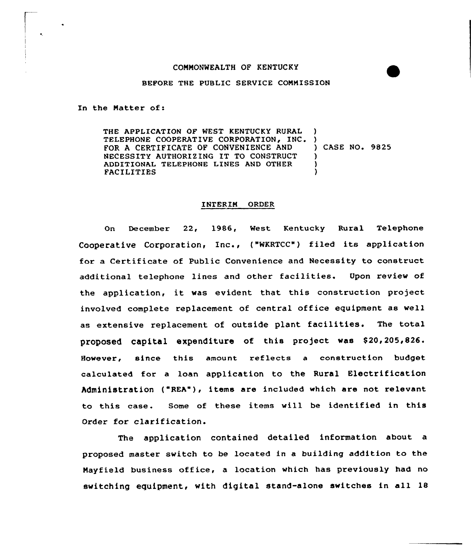## COMMONWEALTH OF KENTUCKY

## BEFORE THE PUBLIC SERVICE COMMISSION

In the Natter of:

THE APPLICATION OF WEST KENTUCKY RURAL TELEPHONE COOPERATIVE CORPORATION, INC. FOR A CERTIFICATE OF CONVENIENCE AND NECESSITY AUTHORIZING IT TO CONSTRUCT ADDITIONAL TELEPHONE LINES AND OTHER **FACILITIES** ) ) ) CASE NO. 9825 ) ) )

## INTERIM ORDER

On December 22, 1986, West Kentucky Rural Telephone Cooperative Corporation, Inc., ("WKRTCC") filed its application for a Certificate of Public Convenience and Necessity to construct additional telephone lines and other facilities. Upon review of the application, it was evident that this construction project involved complete replacement of central office equipment as well as extensive replacement of outside plant facilities. The total proposed capital expenditure of this project was \$20,205,826. However, since this amount reflects <sup>a</sup> construction budget calculated for a loan application to the Rural Electrification Administration ("REA"), items are included which are not relevant to this case. Some of these items will be identified in this Order for clarification.

The application contained detailed information about a proposed master switch to be located in a building addition to the Hayfield business office, a location which has previously had no switching eguipment, with digital stand-alone switches in all 18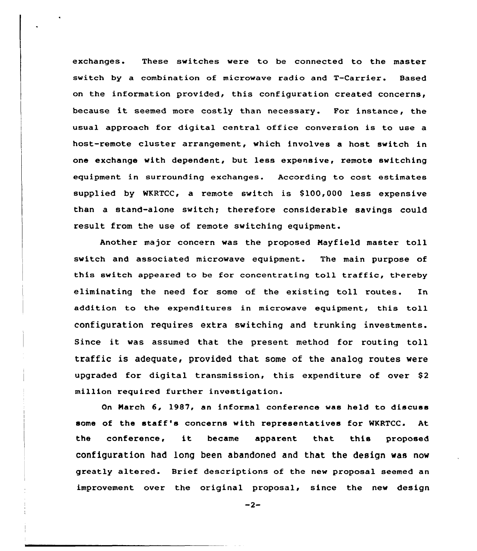exchanges. These switches were to be connected to the master switch by a combination of microwave radio and T-Carrier. Based on the information provided, this configuration created concerns, because it seemed more costly than necessary. For instance, the usual approach for digital central office conversion is to use a host-remote cluster arrangement, which involves a host switch in one exchange with dependent, but less expensive, remote switching equipment in surrounding exchanges. According to cost estimates supplied by WKRTCC, a remote switch is S100,000 less expensive than a stand-alone switch; therefore considerable savings could result from the use of remote switching equipment.

Another major concern was the proposed Mayfield master toll switch and associated microwave equipment. The main purpose of this switch appeared to be for concentrating toll traffic, thereby eliminating the need for some of the existing toll routes. In addition to the expenditures in microwave equipment, this toll configuration requires extra switching and trunking investments. Since it was assumed that the present method for routing toll traffic is adequate, provided that some of the analog routes were upgraded for digital transmission, this expenditure of over S2 million required further investigation.

On March 6, 1987, an informal conference was held to discuss some of the staff's concerns with representatives for WKRTCC. At the conference, it became apparent that this propose configuration had long been abandoned and that the design was now greatly altered. Brief descriptions of the new proposal seemed an improvement over the original proposal, since the new design

 $-2-$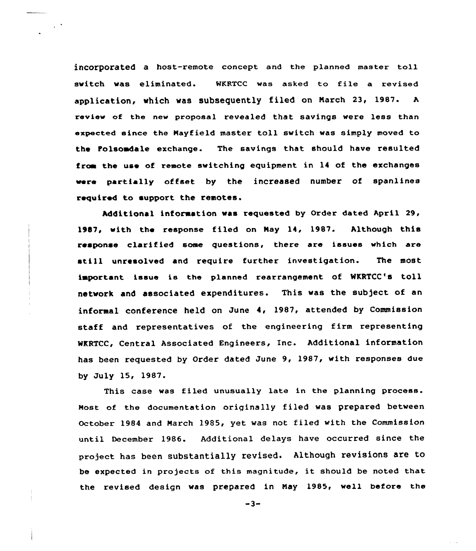incorporated a host-remote concept and the planned master toll switch was eliminated. WKRTCC was asked to file a revised application, which was subsequently filed on March 23, 1987.  $\mathbf{A}$ review of the new proposal revealed that savings were less than expected since the Hayfield master toll switch was simply moved to the tolsoadale exchange. The savings that should have resulted from the use of remote switching equipment in 14 of the exchanges were partially offset by the increased number of spanlines required to support the remotes.

 $\sim$   $^{\circ}$ 

Additional information was requested by Order dated April 29 19B7, with the response filed on May 14, 1987. Although this response clarified some questions, there are issues which are still unresolved and require further investigation. The most important issue is the planned rearrangement of WKRTCC's toll network and associated expenditures. This was the sub)ect of an informal conference held on June 4< 1987, attended by Commission staff and representatives of the engineering firm representing WKRTCC, Central Associated Engineers, Inc. Additional information has been requested by Order dated June 9, 1987, with responses due by July 15, 1987.

This case was filed unusually late in the planning process. Most of the documentation originally filed was prepared between October 1984 and March 1985, yet was not filed with the Commission until December 1986. Additional delays have occurred since the project has been substantially revised. Although revisions are to be expected in projects of this magnitude, it should be noted that the revised design was prepared in Nay 1985, well before the

 $-3-$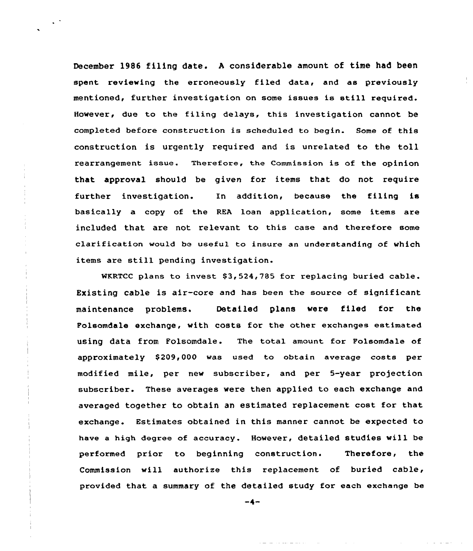December 1986 filing date. <sup>A</sup> considerable amount of time had been spent reviewing the erroneously filed data, and as previously mentioned, further investigation on some issues is still required. However, due to the filing delays, this investigation cannot be completed before construction is scheduled to begin. Some of this construction is urgently required and is unrelated to the toll rearrangement issue. Therefore, the Commission is of the opinion that approval should be given for items that do not require further investigation. In addition, because the filing is basically a copy of the REA loan application, some items are included that are not relevant to this case and therefore some clarification would be useful to insure an understanding of which items are still pending investigation.

WKRTCC plans to invest  $$3,524,785$  for replacing buried cable. Existing cable is air-core and has been the source of significant maintenance problems. Detailed plans were filed for the Folsomdale exchange, with costs for the other exchanges estimated using data from Folsomdale. The total amount for Polsomdale af approximately \$209,000 was used to obtain average costs per modified mile, per new subscriber, and per 5-year projection subscriber. These averages were then applied to each exchange and averaged together to obtain an estimated replacement cost for that exchange. Estimates obtained in this manner cannot be expected to have a high degree of accuracy. However, detailed studies will be performed prior to beginning construction. Therefore, the Commission will authorize this replacement of buried cable, provided that a summary of the detailed study for each exchange be

 $-4-$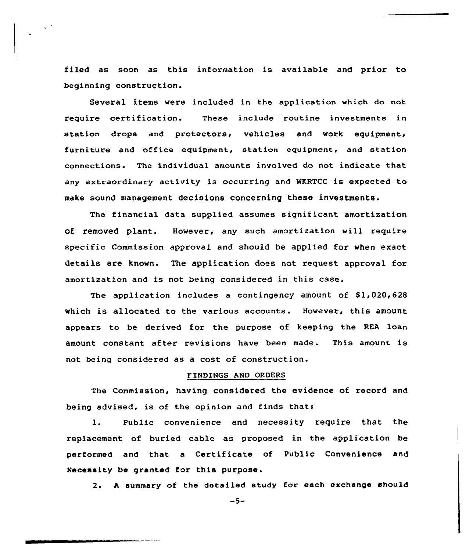filed as soon as this information is available and prior to beginning construction.

 $\ddotsc$ 

Several items were included in the application which do not require certification. These include routine investments in station drops and protectors, vehicles and work equipment, furniture and office equipment, station equipment, and station connections. The individual amounts involved do not indicate that any extraordinary activity is occurring and WKRTCC is expected to make sound management decisions concerning these investments.

The financial data supplied assumes significant amortization of removed plant. However, any such amortization will require specific Commission approval and should be applied for when exact details are known. The application does not request approval for amortization and is not being considered in this case.

The application includes a contingency amount of  $$1,020,628$ which is allocated to the various accounts. However, this amount appears to be derived for the purpose of keeping the REA loan amount constant after revisions have been made. This amount is not being considered as a cost of construction.

## FINDINGS AND ORDERS

The Commission, having considered the evidence of record and being advised, is of the opinion and finds that:

1. Public convenience and necessity require that the replacement of buried cable as proposed in the application be performed and that a Certificate of Public Convenience and Necessity be granted for this purpose.

2. <sup>A</sup> summary of the detailed study for each exchange should

 $-5-$